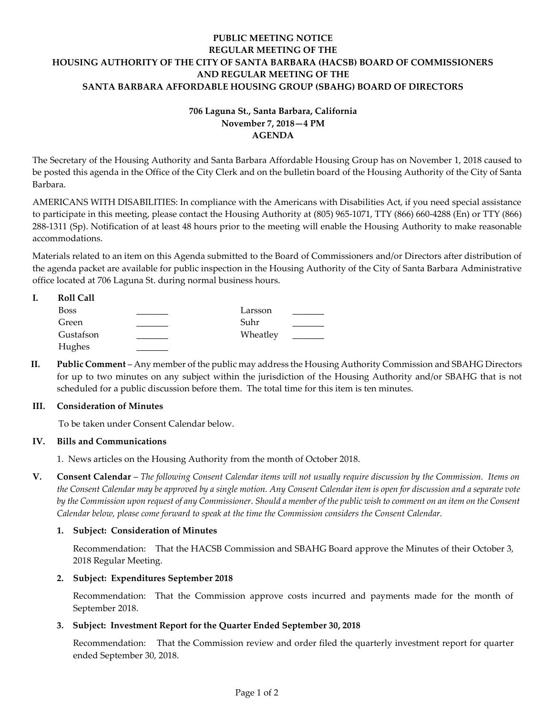# **PUBLIC MEETING NOTICE REGULAR MEETING OF THE HOUSING AUTHORITY OF THE CITY OF SANTA BARBARA (HACSB) BOARD OF COMMISSIONERS AND REGULAR MEETING OF THE SANTA BARBARA AFFORDABLE HOUSING GROUP (SBAHG) BOARD OF DIRECTORS**

# **706 Laguna St., Santa Barbara, California November 7, 2018—4 PM AGENDA**

The Secretary of the Housing Authority and Santa Barbara Affordable Housing Group has on November 1, 2018 caused to be posted this agenda in the Office of the City Clerk and on the bulletin board of the Housing Authority of the City of Santa Barbara.

AMERICANS WITH DISABILITIES: In compliance with the Americans with Disabilities Act, if you need special assistance to participate in this meeting, please contact the Housing Authority at (805) 965-1071, TTY (866) 660-4288 (En) or TTY (866) 288-1311 (Sp). Notification of at least 48 hours prior to the meeting will enable the Housing Authority to make reasonable accommodations.

Materials related to an item on this Agenda submitted to the Board of Commissioners and/or Directors after distribution of the agenda packet are available for public inspection in the Housing Authority of the City of Santa Barbara Administrative office located at 706 Laguna St. during normal business hours.

| <b>Roll Call</b> |          |  |
|------------------|----------|--|
| <b>Boss</b>      | Larsson  |  |
| Green            | Suhr     |  |
| Gustafson        | Wheatley |  |
| Hughes           |          |  |

**II. Public Comment** – Any member of the public may address the Housing Authority Commission and SBAHG Directors for up to two minutes on any subject within the jurisdiction of the Housing Authority and/or SBAHG that is not scheduled for a public discussion before them. The total time for this item is ten minutes.

## **III. Consideration of Minutes**

To be taken under Consent Calendar below.

# **IV. Bills and Communications**

1. News articles [on the Housing Authority from the month of October 2018.](https://hacsb.org/download/meetings_2018/items/11_november/Item-IV.1.pdf)

**V. Consent Calendar** – *The following Consent Calendar items will not usually require discussion by the Commission. Items on the Consent Calendar may be approved by a single motion. Any Consent Calendar item is open for discussion and a separate vote by the Commission upon request of any Commissioner. Should a member of the public wish to comment on an item on the Consent Calendar below, please come forward to speak at the time the Commission considers the Consent Calendar.*

# **1. Subject: Consideration of Minutes**

[Recommendation: That the HACSB Commission and SBAHG Board approve the Minutes of their October 3,](https://hacsb.org/download/meetings_2018/items/11_november/Item-V.1.pdf)  2018 Regular Meeting.

## **2. Subject: Expenditures September 2018**

[Recommendation: That the Commission approve costs incurred and payments made for the month of](https://hacsb.org/download/meetings_2018/items/11_november/Item-V.2.pdf)  September 2018.

# **3. Subject: Investment Report for the Quarter Ended September 30, 2018**

[Recommendation: That the Commission review and order filed the quarterly investment report for quarter](https://hacsb.org/download/meetings_2018/items/11_november/Item-V.3.pdf)  ended September 30, 2018.